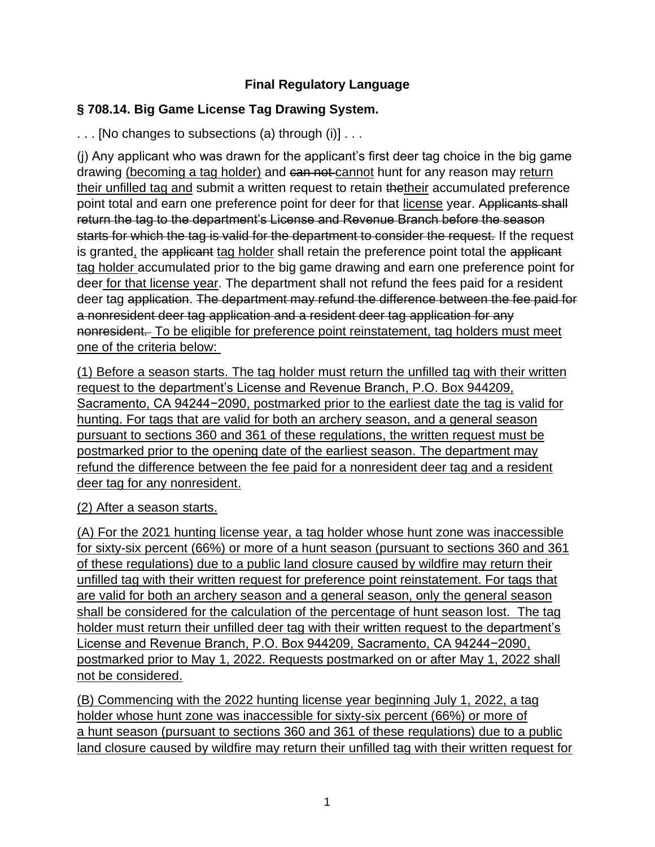## **Final Regulatory Language**

## **§ 708.14. Big Game License Tag Drawing System.**

. . . [No changes to subsections (a) through (i)] . . .

(j) Any applicant who was drawn for the applicant's first deer tag choice in the big game drawing (becoming a tag holder) and can not cannot hunt for any reason may return their unfilled tag and submit a written request to retain thetheir accumulated preference point total and earn one preference point for deer for that license year. Applicants shall return the tag to the department's License and Revenue Branch before the season starts for which the tag is valid for the department to consider the request. If the request is granted, the applicant tag holder shall retain the preference point total the applicant tag holder accumulated prior to the big game drawing and earn one preference point for deer for that license year. The department shall not refund the fees paid for a resident deer tag application. The department may refund the difference between the fee paid for a nonresident deer tag application and a resident deer tag application for any nonresident. To be eligible for preference point reinstatement, tag holders must meet one of the criteria below:

(1) Before a season starts. The tag holder must return the unfilled tag with their written request to the department's License and Revenue Branch, P.O. Box 944209, Sacramento, CA 94244−2090, postmarked prior to the earliest date the tag is valid for hunting. For tags that are valid for both an archery season, and a general season pursuant to sections 360 and 361 of these regulations, the written request must be postmarked prior to the opening date of the earliest season. The department may refund the difference between the fee paid for a nonresident deer tag and a resident deer tag for any nonresident.

## (2) After a season starts.

(A) For the 2021 hunting license year, a tag holder whose hunt zone was inaccessible for sixty-six percent (66%) or more of a hunt season (pursuant to sections 360 and 361 of these regulations) due to a public land closure caused by wildfire may return their unfilled tag with their written request for preference point reinstatement. For tags that are valid for both an archery season and a general season, only the general season shall be considered for the calculation of the percentage of hunt season lost. The tag holder must return their unfilled deer tag with their written request to the department's License and Revenue Branch, P.O. Box 944209, Sacramento, CA 94244−2090, postmarked prior to May 1, 2022. Requests postmarked on or after May 1, 2022 shall not be considered.

(B) Commencing with the 2022 hunting license year beginning July 1, 2022, a tag holder whose hunt zone was inaccessible for sixty-six percent (66%) or more of a hunt season (pursuant to sections 360 and 361 of these regulations) due to a public land closure caused by wildfire may return their unfilled tag with their written request for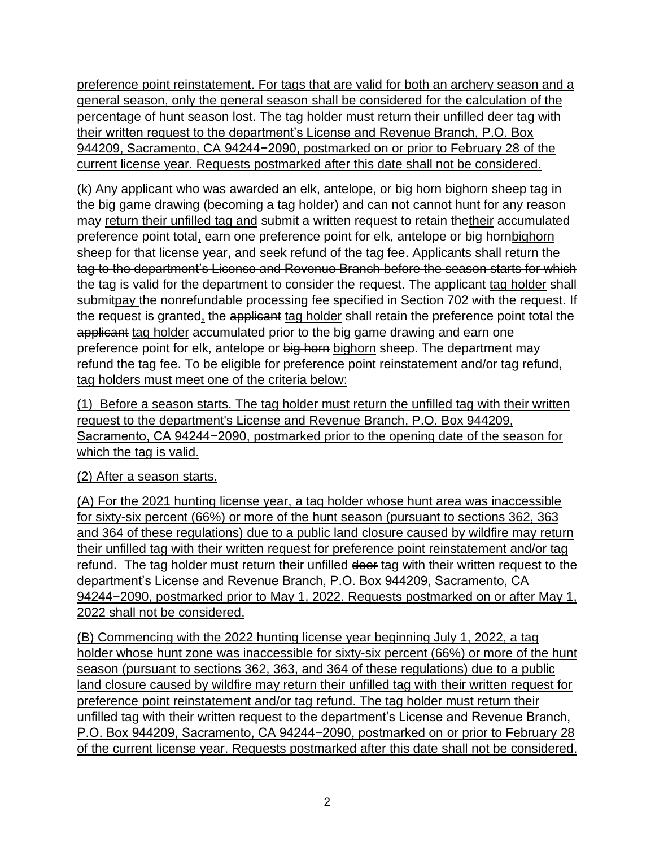preference point reinstatement. For tags that are valid for both an archery season and a general season, only the general season shall be considered for the calculation of the percentage of hunt season lost. The tag holder must return their unfilled deer tag with their written request to the department's License and Revenue Branch, P.O. Box 944209, Sacramento, CA 94244−2090, postmarked on or prior to February 28 of the current license year. Requests postmarked after this date shall not be considered.

(k) Any applicant who was awarded an elk, antelope, or big horn bighorn sheep tag in the big game drawing (becoming a tag holder) and can not cannot hunt for any reason may return their unfilled tag and submit a written request to retain thetheir accumulated preference point total, earn one preference point for elk, antelope or big hornbighorn sheep for that license year, and seek refund of the tag fee. Applicants shall return the tag to the department's License and Revenue Branch before the season starts for which the tag is valid for the department to consider the request. The applicant tag holder shall submitpay the nonrefundable processing fee specified in Section 702 with the request. If the request is granted, the applicant tag holder shall retain the preference point total the applicant tag holder accumulated prior to the big game drawing and earn one preference point for elk, antelope or big horn bighorn sheep. The department may refund the tag fee. To be eligible for preference point reinstatement and/or tag refund, tag holders must meet one of the criteria below:

(1) Before a season starts. The tag holder must return the unfilled tag with their written request to the department's License and Revenue Branch, P.O. Box 944209, Sacramento, CA 94244−2090, postmarked prior to the opening date of the season for which the tag is valid.

## (2) After a season starts.

(A) For the 2021 hunting license year, a tag holder whose hunt area was inaccessible for sixty-six percent (66%) or more of the hunt season (pursuant to sections 362, 363 and 364 of these regulations) due to a public land closure caused by wildfire may return their unfilled tag with their written request for preference point reinstatement and/or tag refund. The tag holder must return their unfilled deer tag with their written request to the department's License and Revenue Branch, P.O. Box 944209, Sacramento, CA 94244−2090, postmarked prior to May 1, 2022. Requests postmarked on or after May 1, 2022 shall not be considered.

(B) Commencing with the 2022 hunting license year beginning July 1, 2022, a tag holder whose hunt zone was inaccessible for sixty-six percent (66%) or more of the hunt season (pursuant to sections 362, 363, and 364 of these regulations) due to a public land closure caused by wildfire may return their unfilled tag with their written request for preference point reinstatement and/or tag refund. The tag holder must return their unfilled tag with their written request to the department's License and Revenue Branch, P.O. Box 944209, Sacramento, CA 94244−2090, postmarked on or prior to February 28 of the current license year. Requests postmarked after this date shall not be considered.